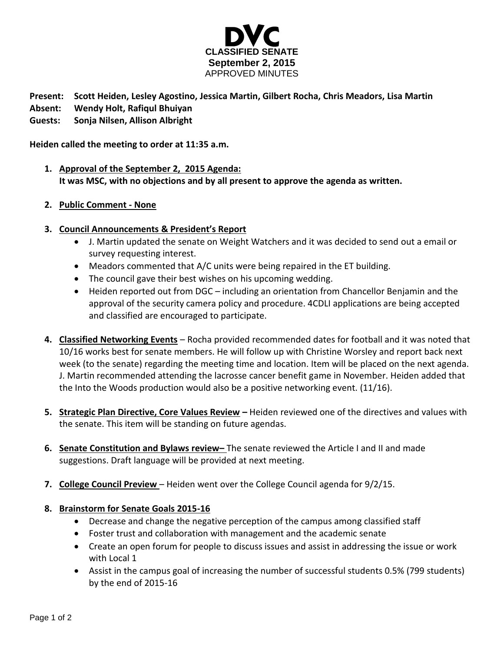

## **Present: Scott Heiden, Lesley Agostino, Jessica Martin, Gilbert Rocha, Chris Meadors, Lisa Martin**

- **Absent: Wendy Holt, Rafiqul Bhuiyan**
- **Guests: Sonja Nilsen, Allison Albright**

**Heiden called the meeting to order at 11:35 a.m.**

- **1. Approval of the September 2, 2015 Agenda: It was MSC, with no objections and by all present to approve the agenda as written.**
- **2. Public Comment - None**
- **3. Council Announcements & President's Report**
	- J. Martin updated the senate on Weight Watchers and it was decided to send out a email or survey requesting interest.
	- Meadors commented that A/C units were being repaired in the ET building.
	- The council gave their best wishes on his upcoming wedding.
	- Heiden reported out from DGC including an orientation from Chancellor Benjamin and the approval of the security camera policy and procedure. 4CDLI applications are being accepted and classified are encouraged to participate.
- **4. Classified Networking Events** Rocha provided recommended dates for football and it was noted that 10/16 works best for senate members. He will follow up with Christine Worsley and report back next week (to the senate) regarding the meeting time and location. Item will be placed on the next agenda. J. Martin recommended attending the lacrosse cancer benefit game in November. Heiden added that the Into the Woods production would also be a positive networking event. (11/16).
- **5. Strategic Plan Directive, Core Values Review –** Heiden reviewed one of the directives and values with the senate. This item will be standing on future agendas.
- **6. Senate Constitution and Bylaws review–** The senate reviewed the Article I and II and made suggestions. Draft language will be provided at next meeting.
- **7. College Council Preview** Heiden went over the College Council agenda for 9/2/15.
- **8. Brainstorm for Senate Goals 2015-16**
	- Decrease and change the negative perception of the campus among classified staff
	- Foster trust and collaboration with management and the academic senate
	- Create an open forum for people to discuss issues and assist in addressing the issue or work with Local 1
	- Assist in the campus goal of increasing the number of successful students 0.5% (799 students) by the end of 2015-16